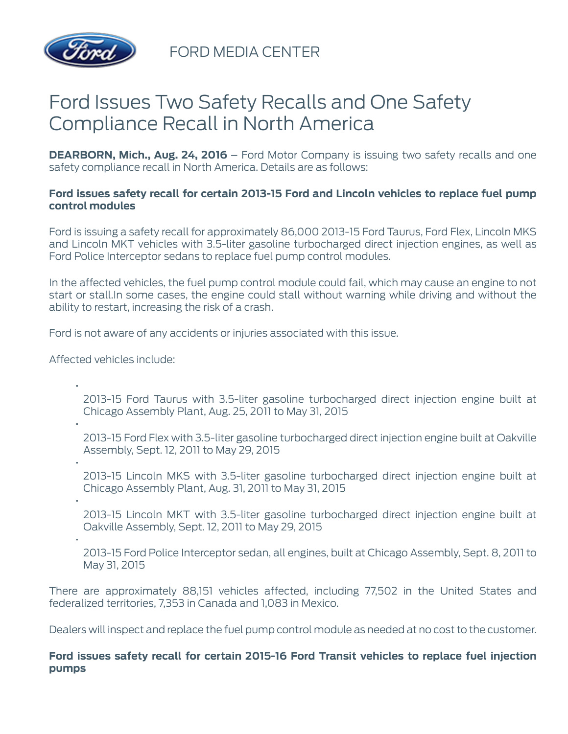

FORD MEDIA CENTER

# Ford Issues Two Safety Recalls and One Safety Compliance Recall in North America

**DEARBORN, Mich., Aug. 24, 2016** – Ford Motor Company is issuing two safety recalls and one safety compliance recall in North America. Details are as follows:

## **Ford issues safety recall for certain 2013-15 Ford and Lincoln vehicles to replace fuel pump control modules**

Ford is issuing a safety recall for approximately 86,000 2013-15 Ford Taurus, Ford Flex, Lincoln MKS and Lincoln MKT vehicles with 3.5-liter gasoline turbocharged direct injection engines, as well as Ford Police Interceptor sedans to replace fuel pump control modules.

In the affected vehicles, the fuel pump control module could fail, which may cause an engine to not start or stall.In some cases, the engine could stall without warning while driving and without the ability to restart, increasing the risk of a crash.

Ford is not aware of any accidents or injuries associated with this issue.

Affected vehicles include:

2013-15 Ford Taurus with 3.5-liter gasoline turbocharged direct injection engine built at Chicago Assembly Plant, Aug. 25, 2011 to May 31, 2015

2013-15 Ford Flex with 3.5-liter gasoline turbocharged direct injection engine built at Oakville Assembly, Sept. 12, 2011 to May 29, 2015

- 2013-15 Lincoln MKS with 3.5-liter gasoline turbocharged direct injection engine built at Chicago Assembly Plant, Aug. 31, 2011 to May 31, 2015
- •

•

•

•

2013-15 Lincoln MKT with 3.5-liter gasoline turbocharged direct injection engine built at Oakville Assembly, Sept. 12, 2011 to May 29, 2015

•

2013-15 Ford Police Interceptor sedan, all engines, built at Chicago Assembly, Sept. 8, 2011 to May 31, 2015

There are approximately 88,151 vehicles affected, including 77,502 in the United States and federalized territories, 7,353 in Canada and 1,083 in Mexico.

Dealers will inspect and replace the fuel pump control module as needed at no cost to the customer.

## **Ford issues safety recall for certain 2015-16 Ford Transit vehicles to replace fuel injection pumps**